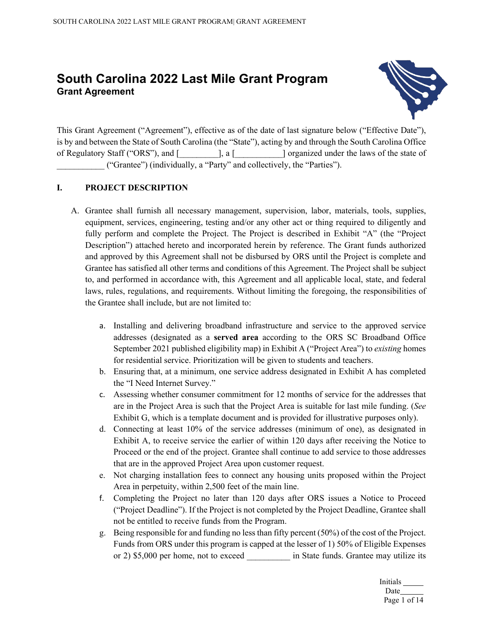# **South Carolina 2022 Last Mile Grant Program Grant Agreement**



This Grant Agreement ("Agreement"), effective as of the date of last signature below ("Effective Date"), is by and between the State of South Carolina (the "State"), acting by and through the South Carolina Office of Regulatory Staff ("ORS"), and [\_\_\_\_\_\_\_\_\_], a [\_\_\_\_\_\_\_\_\_\_\_] organized under the laws of the state of \_\_\_\_\_\_\_\_\_\_\_ ("Grantee") (individually, a "Party" and collectively, the "Parties").

# **I. PROJECT DESCRIPTION**

- A. Grantee shall furnish all necessary management, supervision, labor, materials, tools, supplies, equipment, services, engineering, testing and/or any other act or thing required to diligently and fully perform and complete the Project. The Project is described in Exhibit "A" (the "Project Description") attached hereto and incorporated herein by reference. The Grant funds authorized and approved by this Agreement shall not be disbursed by ORS until the Project is complete and Grantee has satisfied all other terms and conditions of this Agreement. The Project shall be subject to, and performed in accordance with, this Agreement and all applicable local, state, and federal laws, rules, regulations, and requirements. Without limiting the foregoing, the responsibilities of the Grantee shall include, but are not limited to:
	- a. Installing and delivering broadband infrastructure and service to the approved service addresses (designated as a **served area** according to the ORS SC Broadband Office September 2021 published eligibility map) in Exhibit A ("Project Area") to *existing* homes for residential service. Prioritization will be given to students and teachers.
	- b. Ensuring that, at a minimum, one service address designated in Exhibit A has completed the "I Need Internet Survey."
	- c. Assessing whether consumer commitment for 12 months of service for the addresses that are in the Project Area is such that the Project Area is suitable for last mile funding. (*See*  Exhibit G, which is a template document and is provided for illustrative purposes only).
	- d. Connecting at least 10% of the service addresses (minimum of one), as designated in Exhibit A, to receive service the earlier of within 120 days after receiving the Notice to Proceed or the end of the project. Grantee shall continue to add service to those addresses that are in the approved Project Area upon customer request.
	- e. Not charging installation fees to connect any housing units proposed within the Project Area in perpetuity, within 2,500 feet of the main line.
	- f. Completing the Project no later than 120 days after ORS issues a Notice to Proceed ("Project Deadline"). If the Project is not completed by the Project Deadline, Grantee shall not be entitled to receive funds from the Program.
	- g. Being responsible for and funding no less than fifty percent (50%) of the cost of the Project. Funds from ORS under this program is capped at the lesser of 1) 50% of Eligible Expenses or 2) \$5,000 per home, not to exceed in State funds. Grantee may utilize its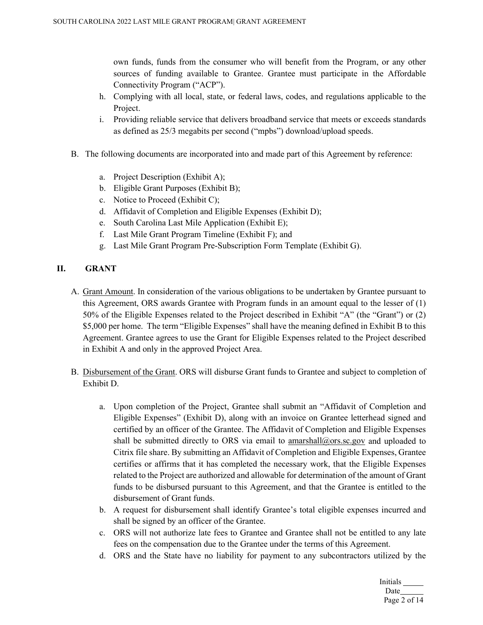own funds, funds from the consumer who will benefit from the Program, or any other sources of funding available to Grantee. Grantee must participate in the Affordable Connectivity Program ("ACP").

- h. Complying with all local, state, or federal laws, codes, and regulations applicable to the Project.
- i. Providing reliable service that delivers broadband service that meets or exceeds standards as defined as 25/3 megabits per second ("mpbs") download/upload speeds.
- B. The following documents are incorporated into and made part of this Agreement by reference:
	- a. Project Description (Exhibit A);
	- b. Eligible Grant Purposes (Exhibit B);
	- c. Notice to Proceed (Exhibit C);
	- d. Affidavit of Completion and Eligible Expenses (Exhibit D);
	- e. South Carolina Last Mile Application (Exhibit E);
	- f. Last Mile Grant Program Timeline (Exhibit F); and
	- g. Last Mile Grant Program Pre-Subscription Form Template (Exhibit G).

# **II. GRANT**

- A. Grant Amount. In consideration of the various obligations to be undertaken by Grantee pursuant to this Agreement, ORS awards Grantee with Program funds in an amount equal to the lesser of (1) 50% of the Eligible Expenses related to the Project described in Exhibit "A" (the "Grant") or (2) \$5,000 per home. The term "Eligible Expenses" shall have the meaning defined in Exhibit B to this Agreement. Grantee agrees to use the Grant for Eligible Expenses related to the Project described in Exhibit A and only in the approved Project Area.
- B. Disbursement of the Grant. ORS will disburse Grant funds to Grantee and subject to completion of Exhibit D.
	- a. Upon completion of the Project, Grantee shall submit an "Affidavit of Completion and Eligible Expenses" (Exhibit D), along with an invoice on Grantee letterhead signed and certified by an officer of the Grantee. The Affidavit of Completion and Eligible Expenses shall be submitted directly to ORS via email to [amarshall@ors.sc.gov](mailto:amarshall@ors.sc.gov) and uploaded to Citrix file share. By submitting an Affidavit of Completion and Eligible Expenses, Grantee certifies or affirms that it has completed the necessary work, that the Eligible Expenses related to the Project are authorized and allowable for determination of the amount of Grant funds to be disbursed pursuant to this Agreement, and that the Grantee is entitled to the disbursement of Grant funds.
	- b. A request for disbursement shall identify Grantee's total eligible expenses incurred and shall be signed by an officer of the Grantee.
	- c. ORS will not authorize late fees to Grantee and Grantee shall not be entitled to any late fees on the compensation due to the Grantee under the terms of this Agreement.
	- d. ORS and the State have no liability for payment to any subcontractors utilized by the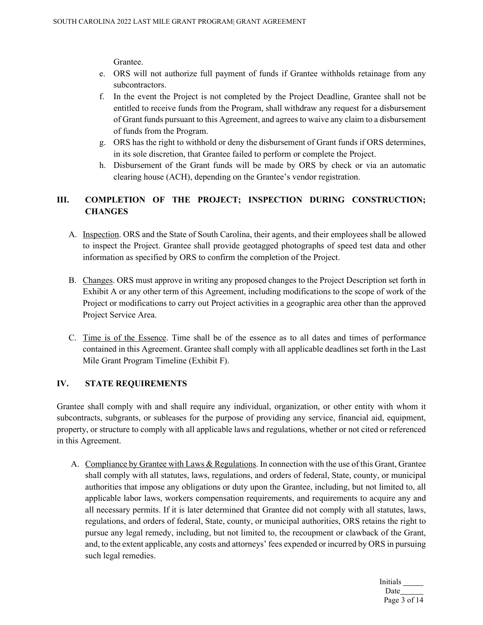Grantee.

- e. ORS will not authorize full payment of funds if Grantee withholds retainage from any subcontractors.
- f. In the event the Project is not completed by the Project Deadline, Grantee shall not be entitled to receive funds from the Program, shall withdraw any request for a disbursement of Grant funds pursuant to this Agreement, and agrees to waive any claim to a disbursement of funds from the Program.
- g. ORS has the right to withhold or deny the disbursement of Grant funds if ORS determines, in its sole discretion, that Grantee failed to perform or complete the Project.
- h. Disbursement of the Grant funds will be made by ORS by check or via an automatic clearing house (ACH), depending on the Grantee's vendor registration.

# **III. COMPLETION OF THE PROJECT; INSPECTION DURING CONSTRUCTION; CHANGES**

- A. Inspection. ORS and the State of South Carolina, their agents, and their employees shall be allowed to inspect the Project. Grantee shall provide geotagged photographs of speed test data and other information as specified by ORS to confirm the completion of the Project.
- B. Changes. ORS must approve in writing any proposed changes to the Project Description set forth in Exhibit A or any other term of this Agreement, including modifications to the scope of work of the Project or modifications to carry out Project activities in a geographic area other than the approved Project Service Area.
- C. Time is of the Essence. Time shall be of the essence as to all dates and times of performance contained in this Agreement. Grantee shall comply with all applicable deadlines set forth in the Last Mile Grant Program Timeline (Exhibit F).

# **IV. STATE REQUIREMENTS**

Grantee shall comply with and shall require any individual, organization, or other entity with whom it subcontracts, subgrants, or subleases for the purpose of providing any service, financial aid, equipment, property, or structure to comply with all applicable laws and regulations, whether or not cited or referenced in this Agreement.

A. Compliance by Grantee with Laws & Regulations. In connection with the use of this Grant, Grantee shall comply with all statutes, laws, regulations, and orders of federal, State, county, or municipal authorities that impose any obligations or duty upon the Grantee, including, but not limited to, all applicable labor laws, workers compensation requirements, and requirements to acquire any and all necessary permits. If it is later determined that Grantee did not comply with all statutes, laws, regulations, and orders of federal, State, county, or municipal authorities, ORS retains the right to pursue any legal remedy, including, but not limited to, the recoupment or clawback of the Grant, and, to the extent applicable, any costs and attorneys' fees expended or incurred by ORS in pursuing such legal remedies.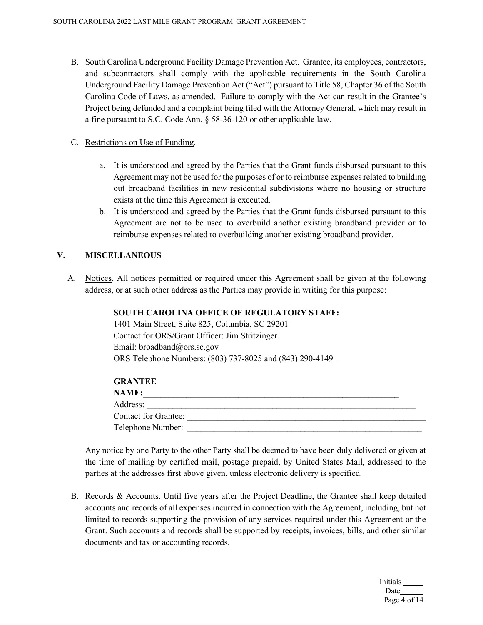B. South Carolina Underground Facility Damage Prevention Act. Grantee, its employees, contractors, and subcontractors shall comply with the applicable requirements in the South Carolina Underground Facility Damage Prevention Act ("Act") pursuant to Title 58, Chapter 36 of the South Carolina Code of Laws, as amended. Failure to comply with the Act can result in the Grantee's Project being defunded and a complaint being filed with the Attorney General, which may result in a fine pursuant to S.C. Code Ann. § 58-36-120 or other applicable law.

#### C. Restrictions on Use of Funding.

- a. It is understood and agreed by the Parties that the Grant funds disbursed pursuant to this Agreement may not be used for the purposes of or to reimburse expenses related to building out broadband facilities in new residential subdivisions where no housing or structure exists at the time this Agreement is executed.
- b. It is understood and agreed by the Parties that the Grant funds disbursed pursuant to this Agreement are not to be used to overbuild another existing broadband provider or to reimburse expenses related to overbuilding another existing broadband provider.

### **V. MISCELLANEOUS**

A. Notices. All notices permitted or required under this Agreement shall be given at the following address, or at such other address as the Parties may provide in writing for this purpose:

### **SOUTH CAROLINA OFFICE OF REGULATORY STAFF:**

1401 Main Street, Suite 825, Columbia, SC 29201 Contact for ORS/Grant Officer: Jim Stritzinger Email: broadband@ors.sc.gov ORS Telephone Numbers: (803) 737-8025 and (843) 290-4149

#### **GRANTEE**

| <b>NAME:</b>                |  |
|-----------------------------|--|
| Address:                    |  |
| <b>Contact for Grantee:</b> |  |
| Telephone Number:           |  |
|                             |  |

Any notice by one Party to the other Party shall be deemed to have been duly delivered or given at the time of mailing by certified mail, postage prepaid, by United States Mail, addressed to the parties at the addresses first above given, unless electronic delivery is specified.

B. Records & Accounts. Until five years after the Project Deadline, the Grantee shall keep detailed accounts and records of all expenses incurred in connection with the Agreement, including, but not limited to records supporting the provision of any services required under this Agreement or the Grant. Such accounts and records shall be supported by receipts, invoices, bills, and other similar documents and tax or accounting records.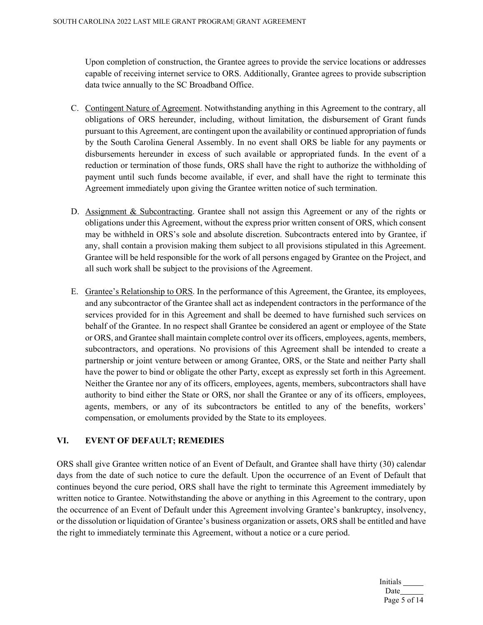Upon completion of construction, the Grantee agrees to provide the service locations or addresses capable of receiving internet service to ORS. Additionally, Grantee agrees to provide subscription data twice annually to the SC Broadband Office.

- C. Contingent Nature of Agreement. Notwithstanding anything in this Agreement to the contrary, all obligations of ORS hereunder, including, without limitation, the disbursement of Grant funds pursuant to this Agreement, are contingent upon the availability or continued appropriation of funds by the South Carolina General Assembly. In no event shall ORS be liable for any payments or disbursements hereunder in excess of such available or appropriated funds. In the event of a reduction or termination of those funds, ORS shall have the right to authorize the withholding of payment until such funds become available, if ever, and shall have the right to terminate this Agreement immediately upon giving the Grantee written notice of such termination.
- D. Assignment & Subcontracting. Grantee shall not assign this Agreement or any of the rights or obligations under this Agreement, without the express prior written consent of ORS, which consent may be withheld in ORS's sole and absolute discretion. Subcontracts entered into by Grantee, if any, shall contain a provision making them subject to all provisions stipulated in this Agreement. Grantee will be held responsible for the work of all persons engaged by Grantee on the Project, and all such work shall be subject to the provisions of the Agreement.
- E. Grantee's Relationship to ORS. In the performance of this Agreement, the Grantee, its employees, and any subcontractor of the Grantee shall act as independent contractors in the performance of the services provided for in this Agreement and shall be deemed to have furnished such services on behalf of the Grantee. In no respect shall Grantee be considered an agent or employee of the State or ORS, and Grantee shall maintain complete control over its officers, employees, agents, members, subcontractors, and operations. No provisions of this Agreement shall be intended to create a partnership or joint venture between or among Grantee, ORS, or the State and neither Party shall have the power to bind or obligate the other Party, except as expressly set forth in this Agreement. Neither the Grantee nor any of its officers, employees, agents, members, subcontractors shall have authority to bind either the State or ORS, nor shall the Grantee or any of its officers, employees, agents, members, or any of its subcontractors be entitled to any of the benefits, workers' compensation, or emoluments provided by the State to its employees.

# **VI. EVENT OF DEFAULT; REMEDIES**

ORS shall give Grantee written notice of an Event of Default, and Grantee shall have thirty (30) calendar days from the date of such notice to cure the default. Upon the occurrence of an Event of Default that continues beyond the cure period, ORS shall have the right to terminate this Agreement immediately by written notice to Grantee. Notwithstanding the above or anything in this Agreement to the contrary, upon the occurrence of an Event of Default under this Agreement involving Grantee's bankruptcy, insolvency, or the dissolution or liquidation of Grantee's business organization or assets, ORS shall be entitled and have the right to immediately terminate this Agreement, without a notice or a cure period.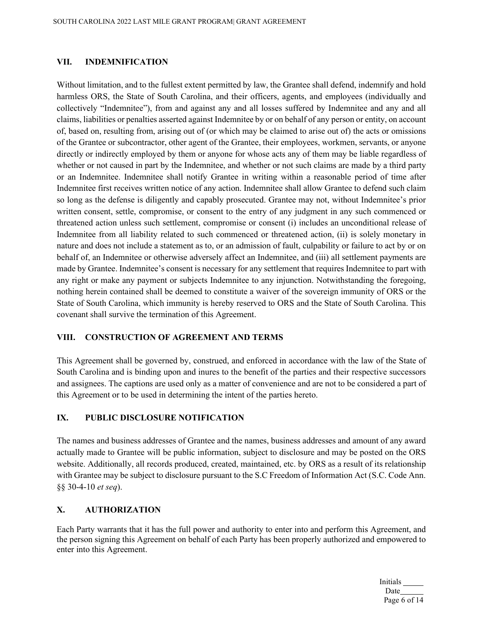#### **VII. INDEMNIFICATION**

Without limitation, and to the fullest extent permitted by law, the Grantee shall defend, indemnify and hold harmless ORS, the State of South Carolina, and their officers, agents, and employees (individually and collectively "Indemnitee"), from and against any and all losses suffered by Indemnitee and any and all claims, liabilities or penalties asserted against Indemnitee by or on behalf of any person or entity, on account of, based on, resulting from, arising out of (or which may be claimed to arise out of) the acts or omissions of the Grantee or subcontractor, other agent of the Grantee, their employees, workmen, servants, or anyone directly or indirectly employed by them or anyone for whose acts any of them may be liable regardless of whether or not caused in part by the Indemnitee, and whether or not such claims are made by a third party or an Indemnitee. Indemnitee shall notify Grantee in writing within a reasonable period of time after Indemnitee first receives written notice of any action. Indemnitee shall allow Grantee to defend such claim so long as the defense is diligently and capably prosecuted. Grantee may not, without Indemnitee's prior written consent, settle, compromise, or consent to the entry of any judgment in any such commenced or threatened action unless such settlement, compromise or consent (i) includes an unconditional release of Indemnitee from all liability related to such commenced or threatened action, (ii) is solely monetary in nature and does not include a statement as to, or an admission of fault, culpability or failure to act by or on behalf of, an Indemnitee or otherwise adversely affect an Indemnitee, and (iii) all settlement payments are made by Grantee. Indemnitee's consent is necessary for any settlement that requires Indemnitee to part with any right or make any payment or subjects Indemnitee to any injunction. Notwithstanding the foregoing, nothing herein contained shall be deemed to constitute a waiver of the sovereign immunity of ORS or the State of South Carolina, which immunity is hereby reserved to ORS and the State of South Carolina. This covenant shall survive the termination of this Agreement.

### **VIII. CONSTRUCTION OF AGREEMENT AND TERMS**

This Agreement shall be governed by, construed, and enforced in accordance with the law of the State of South Carolina and is binding upon and inures to the benefit of the parties and their respective successors and assignees. The captions are used only as a matter of convenience and are not to be considered a part of this Agreement or to be used in determining the intent of the parties hereto.

### **IX. PUBLIC DISCLOSURE NOTIFICATION**

The names and business addresses of Grantee and the names, business addresses and amount of any award actually made to Grantee will be public information, subject to disclosure and may be posted on the ORS website. Additionally, all records produced, created, maintained, etc. by ORS as a result of its relationship with Grantee may be subject to disclosure pursuant to the S.C Freedom of Information Act (S.C. Code Ann. §§ 30-4-10 *et seq*).

### **X. AUTHORIZATION**

Each Party warrants that it has the full power and authority to enter into and perform this Agreement, and the person signing this Agreement on behalf of each Party has been properly authorized and empowered to enter into this Agreement.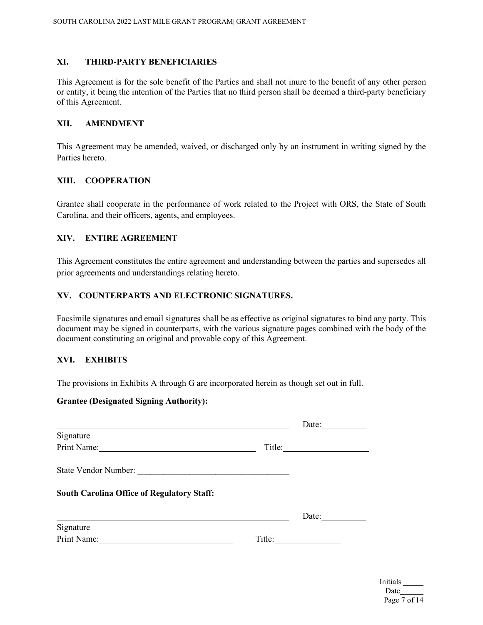#### **XI. THIRD-PARTY BENEFICIARIES**

This Agreement is for the sole benefit of the Parties and shall not inure to the benefit of any other person or entity, it being the intention of the Parties that no third person shall be deemed a third-party beneficiary of this Agreement.

#### **XII. AMENDMENT**

This Agreement may be amended, waived, or discharged only by an instrument in writing signed by the Parties hereto.

### **XIII. COOPERATION**

Grantee shall cooperate in the performance of work related to the Project with ORS, the State of South Carolina, and their officers, agents, and employees.

#### **XIV. ENTIRE AGREEMENT**

This Agreement constitutes the entire agreement and understanding between the parties and supersedes all prior agreements and understandings relating hereto.

# **XV. COUNTERPARTS AND ELECTRONIC SIGNATURES.**

Facsimile signatures and email signatures shall be as effective as original signatures to bind any party. This document may be signed in counterparts, with the various signature pages combined with the body of the document constituting an original and provable copy of this Agreement.

### **XVI. EXHIBITS**

The provisions in Exhibits A through G are incorporated herein as though set out in full.

#### **Grantee (Designated Signing Authority):**

|                                                                                                          |        | Date: $\frac{1}{\sqrt{1-\frac{1}{2}} \cdot \frac{1}{2}}$ |
|----------------------------------------------------------------------------------------------------------|--------|----------------------------------------------------------|
| Signature                                                                                                |        |                                                          |
| Print Name:<br><u> 1989 - Andrea Aonaichte ann an t-</u>                                                 |        |                                                          |
| State Vendor Number:                                                                                     |        |                                                          |
| <b>South Carolina Office of Regulatory Staff:</b>                                                        |        |                                                          |
|                                                                                                          |        | Date:                                                    |
| Signature                                                                                                |        |                                                          |
| Print Name:<br>the control of the control of the control of the control of the control of the control of | Title: |                                                          |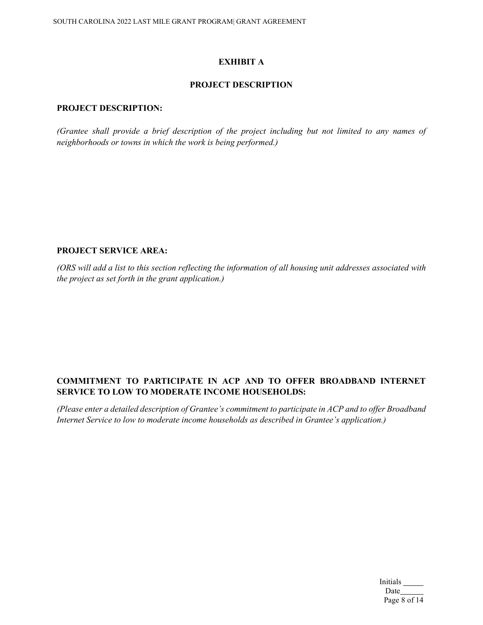### **EXHIBIT A**

# **PROJECT DESCRIPTION**

### **PROJECT DESCRIPTION:**

*(Grantee shall provide a brief description of the project including but not limited to any names of neighborhoods or towns in which the work is being performed.)*

### **PROJECT SERVICE AREA:**

*(ORS will add a list to this section reflecting the information of all housing unit addresses associated with the project as set forth in the grant application.)*

# **COMMITMENT TO PARTICIPATE IN ACP AND TO OFFER BROADBAND INTERNET SERVICE TO LOW TO MODERATE INCOME HOUSEHOLDS:**

*(Please enter a detailed description of Grantee's commitment to participate in ACP and to offer Broadband Internet Service to low to moderate income households as described in Grantee's application.)*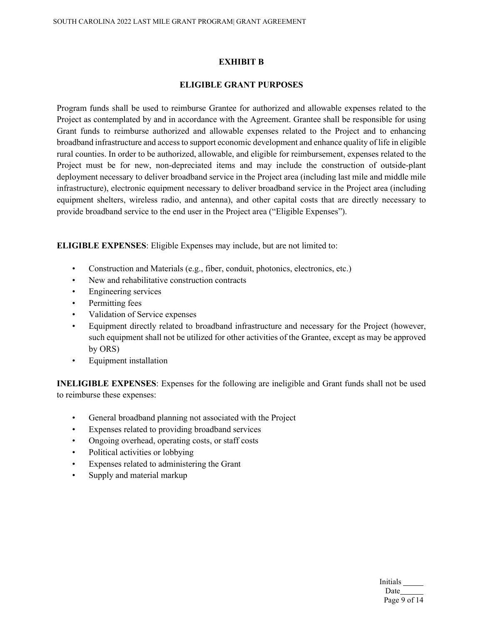#### **EXHIBIT B**

#### **ELIGIBLE GRANT PURPOSES**

Program funds shall be used to reimburse Grantee for authorized and allowable expenses related to the Project as contemplated by and in accordance with the Agreement. Grantee shall be responsible for using Grant funds to reimburse authorized and allowable expenses related to the Project and to enhancing broadband infrastructure and access to support economic development and enhance quality of life in eligible rural counties. In order to be authorized, allowable, and eligible for reimbursement, expenses related to the Project must be for new, non-depreciated items and may include the construction of outside-plant deployment necessary to deliver broadband service in the Project area (including last mile and middle mile infrastructure), electronic equipment necessary to deliver broadband service in the Project area (including equipment shelters, wireless radio, and antenna), and other capital costs that are directly necessary to provide broadband service to the end user in the Project area ("Eligible Expenses").

**ELIGIBLE EXPENSES**: Eligible Expenses may include, but are not limited to:

- Construction and Materials (e.g., fiber, conduit, photonics, electronics, etc.)
- New and rehabilitative construction contracts
- Engineering services
- Permitting fees
- Validation of Service expenses
- Equipment directly related to broadband infrastructure and necessary for the Project (however, such equipment shall not be utilized for other activities of the Grantee, except as may be approved by ORS)
- Equipment installation

**INELIGIBLE EXPENSES**: Expenses for the following are ineligible and Grant funds shall not be used to reimburse these expenses:

- General broadband planning not associated with the Project
- Expenses related to providing broadband services
- Ongoing overhead, operating costs, or staff costs
- Political activities or lobbying
- Expenses related to administering the Grant
- Supply and material markup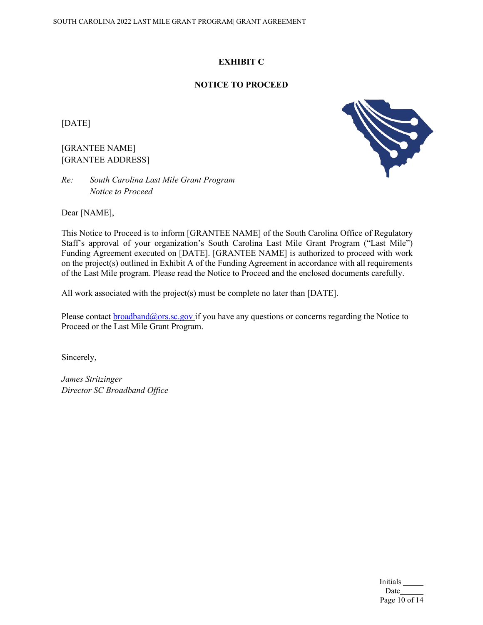# **EXHIBIT C**

# **NOTICE TO PROCEED**

[DATE]

# [GRANTEE NAME] [GRANTEE ADDRESS]

*Re: South Carolina Last Mile Grant Program Notice to Proceed*



This Notice to Proceed is to inform [GRANTEE NAME] of the South Carolina Office of Regulatory Staff's approval of your organization's South Carolina Last Mile Grant Program ("Last Mile") Funding Agreement executed on [DATE]. [GRANTEE NAME] is authorized to proceed with work on the project(s) outlined in Exhibit A of the Funding Agreement in accordance with all requirements of the Last Mile program. Please read the Notice to Proceed and the enclosed documents carefully.

All work associated with the project(s) must be complete no later than [DATE].

Please contact  $broadband@ors.sc.gov$  if you have any questions or concerns regarding the Notice to Proceed or the Last Mile Grant Program.

Sincerely,

*James Stritzinger Director SC Broadband Office*

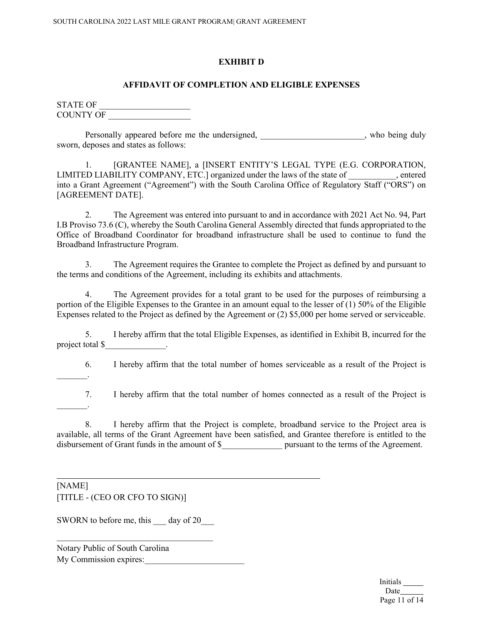### **EXHIBIT D**

# **AFFIDAVIT OF COMPLETION AND ELIGIBLE EXPENSES**

STATE OF COUNTY OF

Personally appeared before me the undersigned, the same control of the set of the set of the value of the value of the value of the value of the value of the value of the value of the value of the value of the value of the sworn, deposes and states as follows:

1. [GRANTEE NAME], a [INSERT ENTITY'S LEGAL TYPE (E.G. CORPORATION, LIMITED LIABILITY COMPANY, ETC.] organized under the laws of the state of , entered into a Grant Agreement ("Agreement") with the South Carolina Office of Regulatory Staff ("ORS") on [AGREEMENT DATE].

2. The Agreement was entered into pursuant to and in accordance with 2021 Act No. 94, Part I.B Proviso 73.6 (C), whereby the South Carolina General Assembly directed that funds appropriated to the Office of Broadband Coordinator for broadband infrastructure shall be used to continue to fund the Broadband Infrastructure Program.

3. The Agreement requires the Grantee to complete the Project as defined by and pursuant to the terms and conditions of the Agreement, including its exhibits and attachments.

4. The Agreement provides for a total grant to be used for the purposes of reimbursing a portion of the Eligible Expenses to the Grantee in an amount equal to the lesser of (1) 50% of the Eligible Expenses related to the Project as defined by the Agreement or (2) \$5,000 per home served or serviceable.

5. I hereby affirm that the total Eligible Expenses, as identified in Exhibit B, incurred for the project total \$\_\_\_\_\_\_\_\_\_\_\_\_\_\_.

6. I hereby affirm that the total number of homes serviceable as a result of the Project is  $\overline{\phantom{a}}$ 

7. I hereby affirm that the total number of homes connected as a result of the Project is  $\frac{1}{2}$ 

8. I hereby affirm that the Project is complete, broadband service to the Project area is available, all terms of the Grant Agreement have been satisfied, and Grantee therefore is entitled to the disbursement of Grant funds in the amount of \$ pursuant to the terms of the Agreement.

 $\overline{a}$ 

# [NAME] [TITLE - (CEO OR CFO TO SIGN)]

SWORN to before me, this day of 20

 $\overline{\phantom{a}}$  , and the set of the set of the set of the set of the set of the set of the set of the set of the set of the set of the set of the set of the set of the set of the set of the set of the set of the set of the s

| Notary Public of South Carolina |  |
|---------------------------------|--|
| My Commission expires:          |  |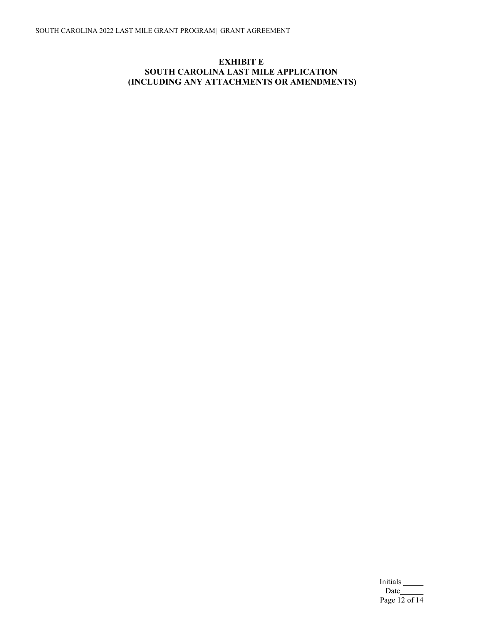# **EXHIBIT E SOUTH CAROLINA LAST MILE APPLICATION (INCLUDING ANY ATTACHMENTS OR AMENDMENTS)**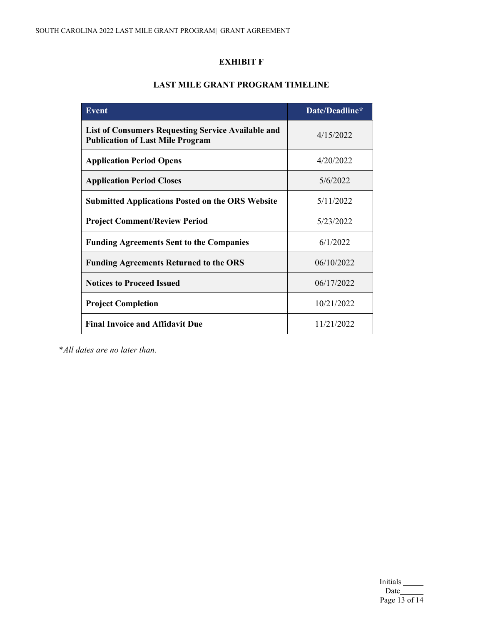# **EXHIBIT F**

# **LAST MILE GRANT PROGRAM TIMELINE**

| <b>Event</b>                                                                                         | Date/Deadline* |
|------------------------------------------------------------------------------------------------------|----------------|
| <b>List of Consumers Requesting Service Available and</b><br><b>Publication of Last Mile Program</b> | 4/15/2022      |
| <b>Application Period Opens</b>                                                                      | 4/20/2022      |
| <b>Application Period Closes</b>                                                                     | 5/6/2022       |
| <b>Submitted Applications Posted on the ORS Website</b>                                              | 5/11/2022      |
| <b>Project Comment/Review Period</b>                                                                 | 5/23/2022      |
| <b>Funding Agreements Sent to the Companies</b>                                                      | 6/1/2022       |
| <b>Funding Agreements Returned to the ORS</b>                                                        | 06/10/2022     |
| <b>Notices to Proceed Issued</b>                                                                     | 06/17/2022     |
| <b>Project Completion</b>                                                                            | 10/21/2022     |
| <b>Final Invoice and Affidavit Due</b>                                                               | 11/21/2022     |

\**All dates are no later than.* 

Initials Date Page 13 of 14